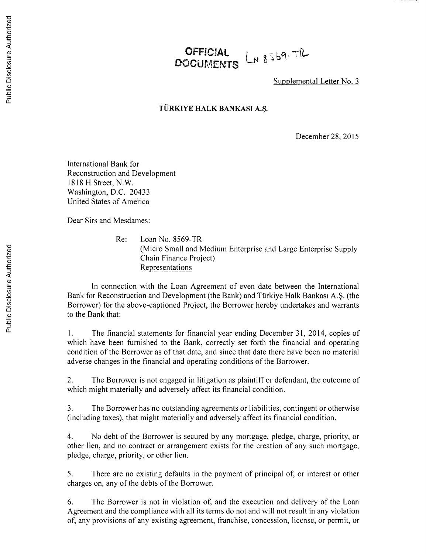## **OFFICIAL** LN 8569-TIL DOCUMENTS

Supplemental Letter No. **3**

## **TURKIYE HALK BANKASI A.\$.**

December **28, 2015**

International Bank for Reconstruction and Development **1818** H Street, N.W. Washington, **D.C.** 20433 United States of America

Dear Sirs and Mesdames:

Re: Loan No. 8569-TR (Micro Small and Medium Enterprise and Large Enterprise Supply Chain Finance Project) Representations

In connection with the Loan Agreement of even date between the International Bank for Reconstruction and Development (the Bank) and Türkiye Halk Bankası A.Ş. (the Borrower) for the above-captioned Project, the Borrower hereby undertakes and warrants to the Bank that:

**I.** The financial statements for financial year ending December **31,** 2014, copies of which have been furnished to the Bank, correctly set forth the financial and operating condition of the Borrower as of that date, and since that date there have been no material adverse changes in the financial and operating conditions of the Borrower.

2. The Borrower is not engaged in litigation as plaintiff or defendant, the outcome of which might materially and adversely affect its financial condition.

**3.** The Borrower has no outstanding agreements or liabilities, contingent or otherwise (including taxes), that might materially and adversely affect its financial condition.

4. No debt of the Borrower is secured **by** any mortgage, pledge, charge, priority, or other lien, and no contract or arrangement exists for the creation of any such mortgage, pledge, charge, priority, or other lien.

**5.** There are no existing defaults in the payment of principal of, or interest or other charges on, any of the debts of the Borrower.

**6.** The Borrower is not in violation of, and the execution and delivery of the Loan Agreement and the compliance with all its terms do not and will not result in any violation of, any provisions of any existing agreement, franchise, concession, license, or permit, or